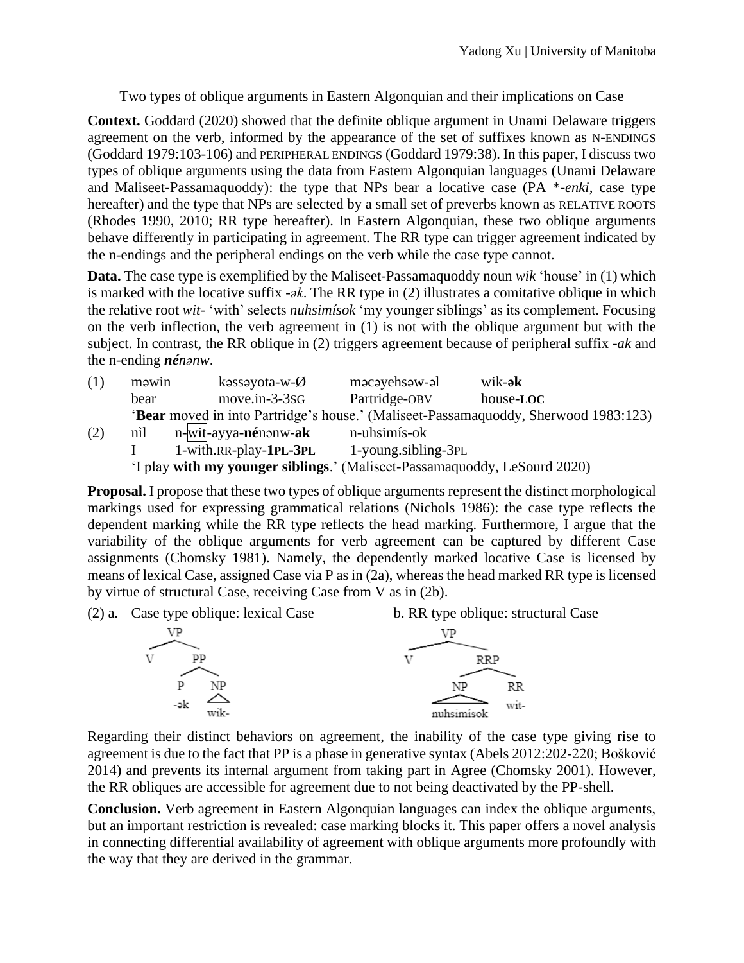Two types of oblique arguments in Eastern Algonquian and their implications on Case

**Context.** Goddard (2020) showed that the definite oblique argument in Unami Delaware triggers agreement on the verb, informed by the appearance of the set of suffixes known as N-ENDINGS (Goddard 1979:103-106) and PERIPHERAL ENDINGS (Goddard 1979:38). In this paper, I discuss two types of oblique arguments using the data from Eastern Algonquian languages (Unami Delaware and Maliseet-Passamaquoddy): the type that NPs bear a locative case (PA \*-*enki*, case type hereafter) and the type that NPs are selected by a small set of preverbs known as RELATIVE ROOTS (Rhodes 1990, 2010; RR type hereafter). In Eastern Algonquian, these two oblique arguments behave differently in participating in agreement. The RR type can trigger agreement indicated by the n-endings and the peripheral endings on the verb while the case type cannot.

**Data.** The case type is exemplified by the Maliseet-Passamaquoddy noun *wik* 'house' in (1) which is marked with the locative suffix -*ək*. The RR type in (2) illustrates a comitative oblique in which the relative root *wit*- 'with' selects *nuhsimísok* 'my younger siblings' as its complement. Focusing on the verb inflection, the verb agreement in (1) is not with the oblique argument but with the subject. In contrast, the RR oblique in (2) triggers agreement because of peripheral suffix -*ak* and the n-ending *nénənw*.

| (1) | məwin                                                                               | kəssəyota-w- $\emptyset$              | məcəyehsəw-əl       | wik- <b>ək</b> |
|-----|-------------------------------------------------------------------------------------|---------------------------------------|---------------------|----------------|
|     | bear                                                                                | $move.in-3-3SG$                       | Partridge-OBV       | house-LOC      |
|     | 'Bear moved in into Partridge's house.' (Maliseet-Passamaquoddy, Sherwood 1983:123) |                                       |                     |                |
| (2) | nìl                                                                                 | n-wit-ayya- <b>né</b> nənw- <b>ak</b> | n-uhsimís-ok        |                |
|     |                                                                                     | 1-with.RR-play- <b>1PL-3PL</b>        | 1-young.sibling-3PL |                |
|     | 'I play with my younger siblings.' (Maliseet-Passamaquoddy, LeSourd 2020)           |                                       |                     |                |

**Proposal.** I propose that these two types of oblique arguments represent the distinct morphological markings used for expressing grammatical relations (Nichols 1986): the case type reflects the dependent marking while the RR type reflects the head marking. Furthermore, I argue that the variability of the oblique arguments for verb agreement can be captured by different Case assignments (Chomsky 1981). Namely, the dependently marked locative Case is licensed by means of lexical Case, assigned Case via P as in (2a), whereas the head marked RR type is licensed by virtue of structural Case, receiving Case from V as in (2b).



Regarding their distinct behaviors on agreement, the inability of the case type giving rise to agreement is due to the fact that PP is a phase in generative syntax (Abels 2012:202-220; Bošković 2014) and prevents its internal argument from taking part in Agree (Chomsky 2001). However, the RR obliques are accessible for agreement due to not being deactivated by the PP-shell.

**Conclusion.** Verb agreement in Eastern Algonquian languages can index the oblique arguments, but an important restriction is revealed: case marking blocks it. This paper offers a novel analysis in connecting differential availability of agreement with oblique arguments more profoundly with the way that they are derived in the grammar.